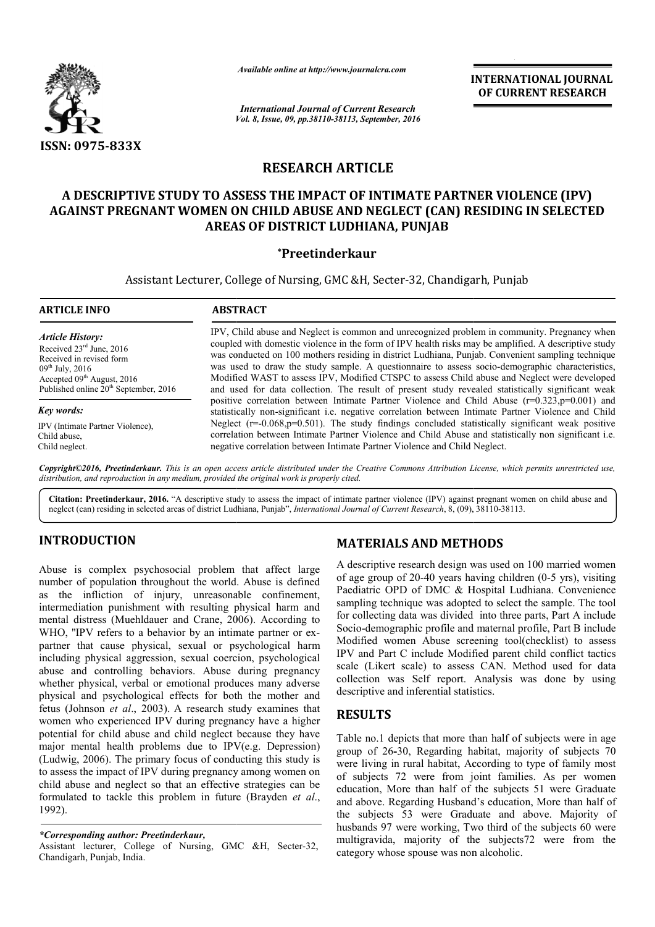

*Available online at http://www.journalcra.com*

*Vol. 8, Issue, 09, pp.38110-38113, September, 2016 International Journal of Current Research*

INTERNATIONAL JOURNAL OF CURRENT RESEARCH

# RESEARCH ARTICLE

# A DESCRIPTIVE STUDY TO ASSESS THE IMPACT OF INTIMATE PARTNER VIOLENCE (IPV) AGAINST PREGNANT WOMEN ON CHILD ABUSE AND NEGLECT (CAN) RESIDING IN SELECTED AREAS OF DISTRICT LUDHIANA, PUNJAB

# \*Preetinderkaur

Assistant Lecturer, College of Nursing, GMC &H, Secter-32, Chandigarh, Punjab

| <b>ARTICLE INFO</b>                               | <b>ABSTRACT</b>                                                                                                                                                                                               |
|---------------------------------------------------|---------------------------------------------------------------------------------------------------------------------------------------------------------------------------------------------------------------|
| <b>Article History:</b>                           | IPV, Child abuse and Neglect is common and unrecognized problem in community. Pregnancy when                                                                                                                  |
| Received $23rd$ June, 2016                        | coupled with domestic violence in the form of IPV health risks may be amplified. A descriptive study                                                                                                          |
| Received in revised form                          | was conducted on 100 mothers residing in district Ludhiana, Punjab. Convenient sampling technique                                                                                                             |
| $09^{th}$ July, 2016                              | was used to draw the study sample. A questionnaire to assess socio-demographic characteristics,                                                                                                               |
| Accepted $09th$ August, 2016                      | Modified WAST to assess IPV, Modified CTSPC to assess Child abuse and Neglect were developed                                                                                                                  |
| Published online 20 <sup>th</sup> September, 2016 | and used for data collection. The result of present study revealed statistically significant weak                                                                                                             |
| Key words:                                        | positive correlation between Intimate Partner Violence and Child Abuse $(r=0.323, p=0.001)$ and<br>statistically non-significant <i>i.e.</i> negative correlation between Intimate Partner Violence and Child |
| IPV (Intimate Partner Violence).                  | Neglect $(r=-0.068,p=0.501)$ . The study findings concluded statistically significant weak positive                                                                                                           |
| Child abuse.                                      | correlation between Intimate Partner Violence and Child Abuse and statistically non significant <i>i.e.</i>                                                                                                   |
| Child neglect.                                    | negative correlation between Intimate Partner Violence and Child Neglect.                                                                                                                                     |

Copyright©2016, Preetinderkaur. This is an open access article distributed under the Creative Commons Attribution License, which permits unrestricted use, *distribution, and reproduction in any medium, provided the original work is properly cited.*

Citation: Preetinderkaur, 2016. "A descriptive study to assess the impact of intimate partner violence (IPV) against pregnant women on child abuse and neglect (can) residing in selected areas of district Ludhiana, Punjab", neglect (can) residing in selected areas of district Ludhiana, Punjab", *International Journal of Current Research*, 8, (09),

# INTRODUCTION

Abuse is complex psychosocial problem that affect large number of population throughout the world. Abuse is defined as the infliction of injury, unreasonable confinement, intermediation punishment with resulting physical harm and mental distress (Muehldauer and Crane, 2006). According to WHO, "IPV refers to a behavior by an intimate partner or expartner that cause physical, sexual or psychological harm including physical aggression, sexual coercion, psychological abuse and controlling behaviors. Abuse during pregnancy whether physical, verbal or emotional produces many adverse physical and psychological effects for both the mother and fetus (Johnson *et al*., 2003). A research study examines that women who experienced IPV during pregnancy have a higher potential for child abuse and child neglect because they have major mental health problems due to IPV(e.g. Depression) (Ludwig, 2006). The primary focus of conducting this study is to assess the impact of IPV during pregnancy among women on child abuse and neglect so that an effective strategies can be formulated to tackle this problem in future (Brayden *et al*., 1992). ing physical aggression, sexual coercion, psychological<br>and controlling behaviors. Abuse during pregnancy<br>er physical, verbal or emotional produces many adverse<br>al and psychological effects for both the mother and<br>(Johnso

# MATERIALS AND METHODS METHODS

A descriptive research design was used on 100 married women of age group of  $20-40$  years having children  $(0-5$  yrs), visiting Paediatric OPD of DMC & Hospital Ludhiana. Convenience sampling technique was adopted to select the sample. The tool for collecting data was divided into three parts, Part A include Socio-demographic profile and maternal profile, Part B include Modified women Abuse screening tool(checklist) to assess IPV and Part C include Modified parent child conflict tactics scale (Likert scale) to assess CAN. Method used for data collection was Self report. Analysis was done by using descriptive and inferential statistics. poling technique was adopted to select the sample. The tool collecting data was divided into three parts, Part A include io-demographic profile and maternal profile, Part B include dified women Abuse screening tool(checkli

# **RESULTS**

Table no.1 depicts that more than half of subjects were in age group of 26-30, Regarding habitat, majority of subjects 70 were living in rural habitat, According to type of family most of subjects 72 were from joint families. As per women education, More than half of the subjects 51 were Graduate and above. Regarding Husband's education, More than half of the subjects 53 were Graduate and above. Majority of husbands 97 were working, Two third of the subjects 60 were multigravida, majority of the subjects72 were from the category whose spouse was non alcoholic. IPV and Part C include Modified parent child conflict tactics<br>scale (Likert scale) to assess CAN. Method used for data<br>collection was Self report. Analysis was done by using<br>descriptive and inferential statistics.<br>**RESULTS** 

*<sup>\*</sup>Corresponding author: Preetinderkaur,*

Assistant lecturer, College of Nursing, GMC &H, Secter-32, Chandigarh, Punjab, India.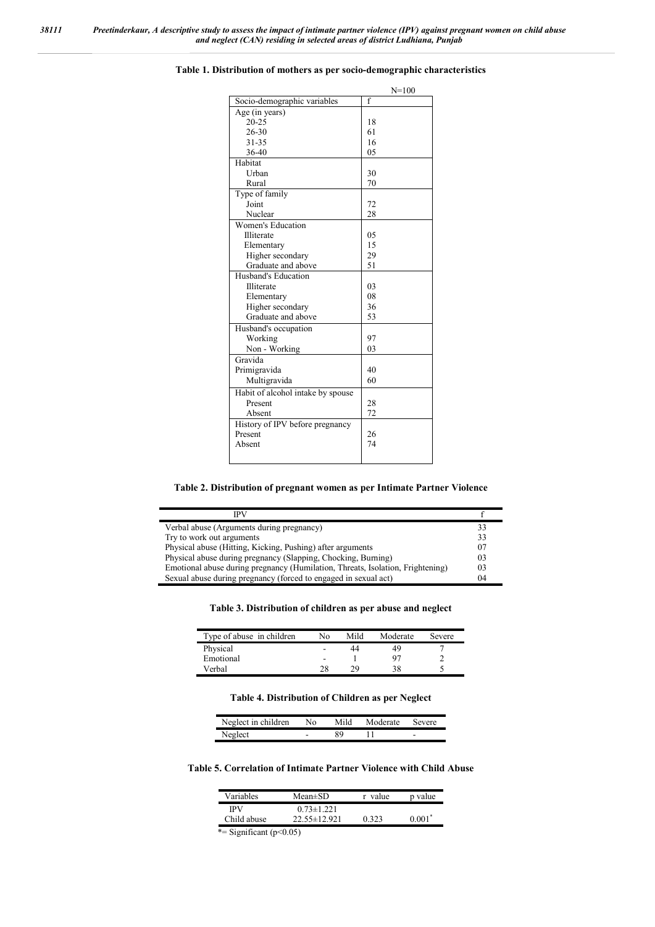|                                   | $N = 100$      |
|-----------------------------------|----------------|
| Socio-demographic variables       | $\overline{f}$ |
| Age (in years)                    |                |
| $20 - 25$                         | 18             |
| $26 - 30$                         | 61             |
| $31 - 35$                         | 16             |
| 36-40                             | 05             |
| Habitat                           |                |
| Urban                             | 30             |
| Rural                             | 70             |
| Type of family                    |                |
| Joint                             | 72             |
| Nuclear                           | 28             |
| Women's Education                 |                |
| Illiterate                        | 05             |
| Elementary                        | 15             |
| Higher secondary                  | 29             |
| Graduate and above                | 51             |
| Husband's Education               |                |
| Illiterate                        | 03             |
| Elementary                        | 08             |
| Higher secondary                  | 36             |
| Graduate and above                | 53             |
| Husband's occupation              |                |
| Working                           | 97             |
| Non - Working                     | 03             |
| Gravida                           |                |
| Primigravida                      | 40             |
| Multigravida                      | 60             |
| Habit of alcohol intake by spouse |                |
| Present                           | 28             |
| Absent                            | 72             |
| History of IPV before pregnancy   |                |
| Present                           | 26             |
| Absent                            | 74             |
|                                   |                |
|                                   |                |

#### Table 1. Distribution of mothers as per socio-demographic characteristics

### Table 2. Distribution of pregnant women as per Intimate Partner Violence

| IPV                                                                            |    |
|--------------------------------------------------------------------------------|----|
| Verbal abuse (Arguments during pregnancy)                                      | 33 |
| Try to work out arguments                                                      | 33 |
| Physical abuse (Hitting, Kicking, Pushing) after arguments                     | 07 |
| Physical abuse during pregnancy (Slapping, Chocking, Burning)                  | 03 |
| Emotional abuse during pregnancy (Humilation, Threats, Isolation, Frightening) | 03 |
| Sexual abuse during pregnancy (forced to engaged in sexual act)                | 04 |

## Table 3. Distribution of children as per abuse and neglect

| Type of abuse in children | No.            | Mild | Moderate | Severe |
|---------------------------|----------------|------|----------|--------|
| Physical                  | $\overline{ }$ | 44   | 49       |        |
| Emotional                 | ۰              |      | 97       |        |
| Verbal                    | 28             | 29   | 38       |        |

## Table 4. Distribution of Children as per Neglect

| Neglect in children | No | Moderate | Severe |
|---------------------|----|----------|--------|
| tمماهمآه            | -  |          | -      |
|                     |    |          |        |

#### Table 5. Correlation of Intimate Partner Violence with Child Abuse

| <b>Variables</b> | $Mean \pm SD$      | value | p value  |
|------------------|--------------------|-------|----------|
| <b>IPV</b>       | $0.73 \pm 1.221$   |       |          |
| Child abuse      | $22.55 \pm 12.921$ | 0.323 | $0.001*$ |

\*= Significant  $(p<0.05)$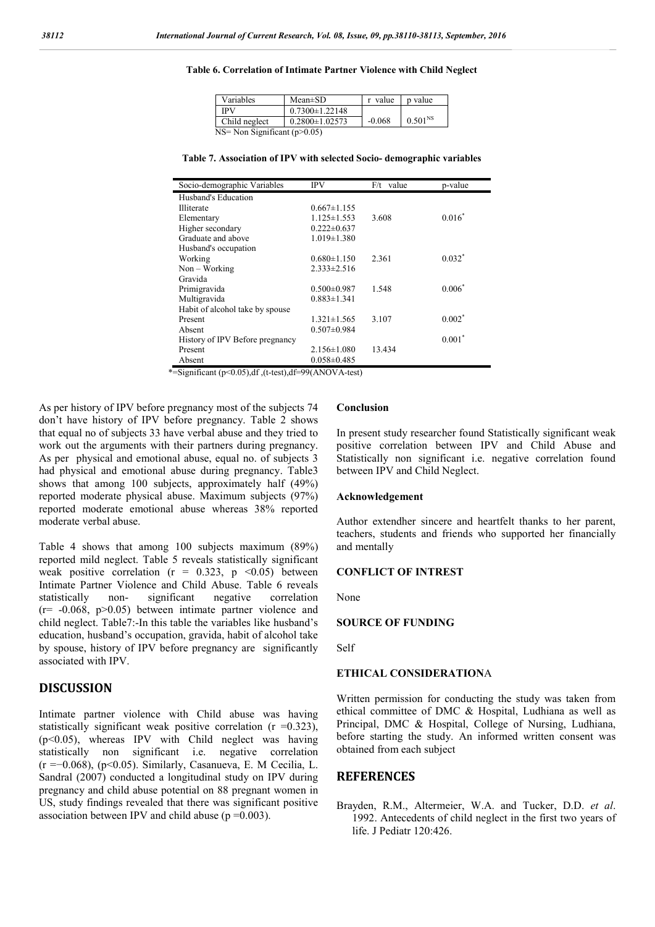#### Table 6. Correlation of Intimate Partner Violence with Child Neglect

| Variables                      | $Mean \pm SD$        | r value  | p value      |  |
|--------------------------------|----------------------|----------|--------------|--|
| IPV                            | $0.7300 \pm 1.22148$ |          |              |  |
| Child neglect                  | $0.2800 \pm 1.02573$ | $-0.068$ | $0.501^{NS}$ |  |
| NS= Non Significant $(p>0.05)$ |                      |          |              |  |

Table 7. Association of IPV with selected Socio- demographic variables

| Socio-demographic Variables     | IPV               | $F/t$ value | p-value  |
|---------------------------------|-------------------|-------------|----------|
| Husband's Education             |                   |             |          |
| Illiterate                      | $0.667 \pm 1.155$ |             |          |
| Elementary                      | $1.125 \pm 1.553$ | 3.608       | $0.016*$ |
| Higher secondary                | $0.222 \pm 0.637$ |             |          |
| Graduate and above              | $1.019 \pm 1.380$ |             |          |
| Husband's occupation            |                   |             |          |
| Working                         | $0.680 \pm 1.150$ | 2.361       | $0.032*$ |
| $Non - Working$                 | $2.333 \pm 2.516$ |             |          |
| Gravida                         |                   |             |          |
| Primigravida                    | $0.500 \pm 0.987$ | 1.548       | $0.006*$ |
| Multigravida                    | $0.883 \pm 1.341$ |             |          |
| Habit of alcohol take by spouse |                   |             |          |
| Present                         | $1.321 \pm 1.565$ | 3.107       | $0.002*$ |
| Absent                          | $0.507 \pm 0.984$ |             |          |
| History of IPV Before pregnancy |                   |             | $0.001*$ |
| Present                         | $2.156 \pm 1.080$ | 13.434      |          |
| Absent                          | $0.058 \pm 0.485$ |             |          |

\*=Significant (p<0.05),df ,(t-test),df=99(ANOVA-test)

As per history of IPV before pregnancy most of the subjects 74 don't have history of IPV before pregnancy. Table 2 shows that equal no of subjects 33 have verbal abuse and they tried to work out the arguments with their partners during pregnancy. As per physical and emotional abuse, equal no. of subjects 3 had physical and emotional abuse during pregnancy. Table3 shows that among 100 subjects, approximately half (49%) reported moderate physical abuse. Maximum subjects (97%) reported moderate emotional abuse whereas 38% reported moderate verbal abuse.

Table 4 shows that among 100 subjects maximum (89%) reported mild neglect. Table 5 reveals statistically significant weak positive correlation ( $r = 0.323$ ,  $p \le 0.05$ ) between Intimate Partner Violence and Child Abuse. Table 6 reveals statistically non- significant negative correlation  $(r=-0.068, p>0.05)$  between intimate partner violence and child neglect. Table7:-In this table the variables like husband's education, husband's occupation, gravida, habit of alcohol take by spouse, history of IPV before pregnancy are significantly associated with IPV.

## DISCUSSION

Intimate partner violence with Child abuse was having statistically significant weak positive correlation ( $r = 0.323$ ), (p<0.05), whereas IPV with Child neglect was having statistically non significant i.e. negative correlation (r =−0.068), (p<0.05). Similarly, Casanueva, E. M Cecilia, L. Sandral (2007) conducted a longitudinal study on IPV during pregnancy and child abuse potential on 88 pregnant women in US, study findings revealed that there was significant positive association between IPV and child abuse ( $p = 0.003$ ).

## Conclusion

In present study researcher found Statistically significant weak positive correlation between IPV and Child Abuse and Statistically non significant i.e. negative correlation found between IPV and Child Neglect.

#### Acknowledgement

Author extendher sincere and heartfelt thanks to her parent, teachers, students and friends who supported her financially and mentally

### CONFLICT OF INTREST

None

### SOURCE OF FUNDING

Self

#### ETHICAL CONSIDERATIONA

Written permission for conducting the study was taken from ethical committee of DMC & Hospital, Ludhiana as well as Principal, DMC & Hospital, College of Nursing, Ludhiana, before starting the study. An informed written consent was obtained from each subject

## **REFERENCES**

Brayden, R.M., Altermeier, W.A. and Tucker, D.D. *et al*. 1992. Antecedents of child neglect in the first two years of life. J Pediatr 120:426.